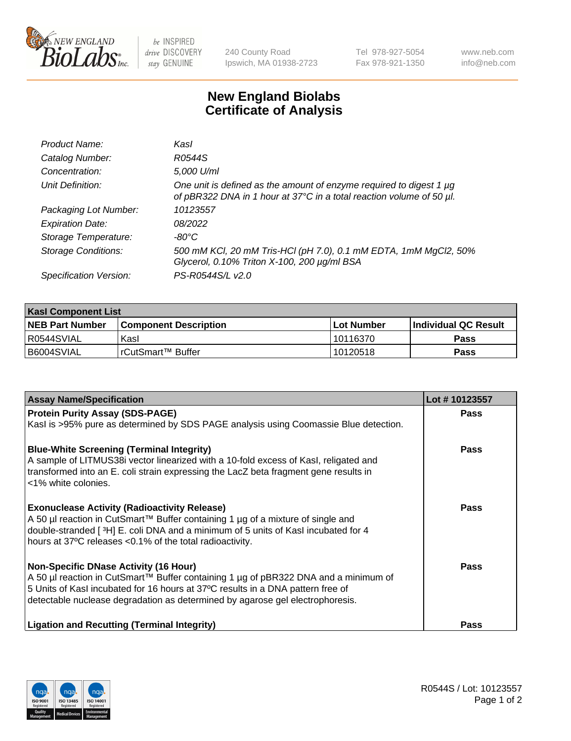

 $be$  INSPIRED drive DISCOVERY stay GENUINE

240 County Road Ipswich, MA 01938-2723 Tel 978-927-5054 Fax 978-921-1350 www.neb.com info@neb.com

## **New England Biolabs Certificate of Analysis**

| Product Name:              | Kasl                                                                                                                                             |
|----------------------------|--------------------------------------------------------------------------------------------------------------------------------------------------|
| Catalog Number:            | R0544S                                                                                                                                           |
| Concentration:             | 5,000 U/ml                                                                                                                                       |
| Unit Definition:           | One unit is defined as the amount of enzyme required to digest 1 $\mu$ g<br>of pBR322 DNA in 1 hour at 37°C in a total reaction volume of 50 µl. |
| Packaging Lot Number:      | 10123557                                                                                                                                         |
| <b>Expiration Date:</b>    | 08/2022                                                                                                                                          |
| Storage Temperature:       | -80°C                                                                                                                                            |
| <b>Storage Conditions:</b> | 500 mM KCl, 20 mM Tris-HCl (pH 7.0), 0.1 mM EDTA, 1mM MgCl2, 50%<br>Glycerol, 0.10% Triton X-100, 200 µg/ml BSA                                  |
| Specification Version:     | PS-R0544S/L v2.0                                                                                                                                 |

| <b>Kasl Component List</b> |                         |              |                             |  |  |
|----------------------------|-------------------------|--------------|-----------------------------|--|--|
| <b>NEB Part Number</b>     | l Component Description | l Lot Number | <b>Individual QC Result</b> |  |  |
| I R0544SVIAL               | Kasl                    | 10116370     | Pass                        |  |  |
| B6004SVIAL                 | l rCutSmart™ Buffer_    | 10120518     | Pass                        |  |  |

| <b>Assay Name/Specification</b>                                                                                                                                      | Lot #10123557 |
|----------------------------------------------------------------------------------------------------------------------------------------------------------------------|---------------|
| <b>Protein Purity Assay (SDS-PAGE)</b>                                                                                                                               | Pass          |
| Kasl is >95% pure as determined by SDS PAGE analysis using Coomassie Blue detection.                                                                                 |               |
| <b>Blue-White Screening (Terminal Integrity)</b>                                                                                                                     | Pass          |
| A sample of LITMUS38i vector linearized with a 10-fold excess of Kasl, religated and                                                                                 |               |
| transformed into an E. coli strain expressing the LacZ beta fragment gene results in<br><1% white colonies.                                                          |               |
| <b>Exonuclease Activity (Radioactivity Release)</b>                                                                                                                  | Pass          |
| A 50 µl reaction in CutSmart™ Buffer containing 1 µg of a mixture of single and<br>double-stranded [3H] E. coli DNA and a minimum of 5 units of Kasl incubated for 4 |               |
| hours at 37°C releases <0.1% of the total radioactivity.                                                                                                             |               |
| <b>Non-Specific DNase Activity (16 Hour)</b>                                                                                                                         | Pass          |
| A 50 µl reaction in CutSmart™ Buffer containing 1 µg of pBR322 DNA and a minimum of                                                                                  |               |
| 5 Units of Kasl incubated for 16 hours at 37°C results in a DNA pattern free of<br>detectable nuclease degradation as determined by agarose gel electrophoresis.     |               |
|                                                                                                                                                                      |               |
| <b>Ligation and Recutting (Terminal Integrity)</b>                                                                                                                   | Pass          |